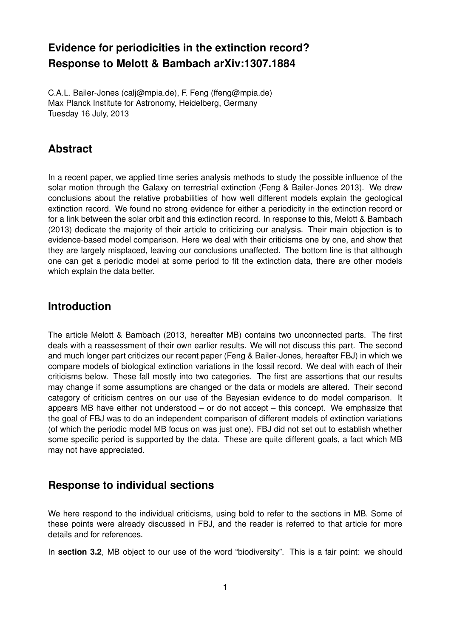# **Evidence for periodicities in the extinction record? Response to Melott & Bambach arXiv:1307.1884**

C.A.L. Bailer-Jones (calj@mpia.de), F. Feng (ffeng@mpia.de) Max Planck Institute for Astronomy, Heidelberg, Germany Tuesday 16 July, 2013

# **Abstract**

In a recent paper, we applied time series analysis methods to study the possible influence of the solar motion through the Galaxy on terrestrial extinction (Feng & Bailer-Jones 2013). We drew conclusions about the relative probabilities of how well different models explain the geological extinction record. We found no strong evidence for either a periodicity in the extinction record or for a link between the solar orbit and this extinction record. In response to this, Melott & Bambach (2013) dedicate the majority of their article to criticizing our analysis. Their main objection is to evidence-based model comparison. Here we deal with their criticisms one by one, and show that they are largely misplaced, leaving our conclusions unaffected. The bottom line is that although one can get a periodic model at some period to fit the extinction data, there are other models which explain the data better.

#### **Introduction**

The article Melott & Bambach (2013, hereafter MB) contains two unconnected parts. The first deals with a reassessment of their own earlier results. We will not discuss this part. The second and much longer part criticizes our recent paper (Feng & Bailer-Jones, hereafter FBJ) in which we compare models of biological extinction variations in the fossil record. We deal with each of their criticisms below. These fall mostly into two categories. The first are assertions that our results may change if some assumptions are changed or the data or models are altered. Their second category of criticism centres on our use of the Bayesian evidence to do model comparison. It appears MB have either not understood – or do not accept – this concept. We emphasize that the goal of FBJ was to do an independent comparison of different models of extinction variations (of which the periodic model MB focus on was just one). FBJ did not set out to establish whether some specific period is supported by the data. These are quite different goals, a fact which MB may not have appreciated.

## **Response to individual sections**

We here respond to the individual criticisms, using bold to refer to the sections in MB. Some of these points were already discussed in FBJ, and the reader is referred to that article for more details and for references.

In **section 3.2**, MB object to our use of the word "biodiversity". This is a fair point: we should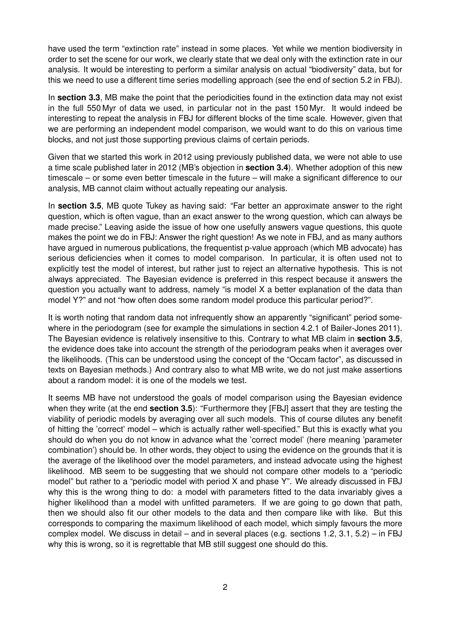have used the term "extinction rate" instead in some places. Yet while we mention biodiversity in order to set the scene for our work, we clearly state that we deal only with the extinction rate in our analysis. It would be interesting to perform a similar analysis on actual "biodiversity" data, but for this we need to use a different time series modelling approach (see the end of section 5.2 in FBJ).

In **section 3.3**, MB make the point that the periodicities found in the extinction data may not exist in the full 550 Myr of data we used, in particular not in the past 150 Myr. It would indeed be interesting to repeat the analysis in FBJ for different blocks of the time scale. However, given that we are performing an independent model comparison, we would want to do this on various time blocks, and not just those supporting previous claims of certain periods.

Given that we started this work in 2012 using previously published data, we were not able to use a time scale published later in 2012 (MB's objection in **section 3.4**). Whether adoption of this new timescale – or some even better timescale in the future – will make a significant difference to our analysis, MB cannot claim without actually repeating our analysis.

In **section 3.5**, MB quote Tukey as having said: "Far better an approximate answer to the right question, which is often vague, than an exact answer to the wrong question, which can always be made precise." Leaving aside the issue of how one usefully answers vague questions, this quote makes the point we do in FBJ: Answer the right question! As we note in FBJ, and as many authors have argued in numerous publications, the frequentist p-value approach (which MB advocate) has serious deficiencies when it comes to model comparison. In particular, it is often used not to explicitly test the model of interest, but rather just to reject an alternative hypothesis. This is not always appreciated. The Bayesian evidence is preferred in this respect because it answers the question you actually want to address, namely "is model X a better explanation of the data than model Y?" and not "how often does some random model produce this particular period?".

It is worth noting that random data not infrequently show an apparently "significant" period somewhere in the periodogram (see for example the simulations in section 4.2.1 of Bailer-Jones 2011). The Bayesian evidence is relatively insensitive to this. Contrary to what MB claim in **section 3.5**, the evidence does take into account the strength of the periodogram peaks when it averages over the likelihoods. (This can be understood using the concept of the "Occam factor", as discussed in texts on Bayesian methods.) And contrary also to what MB write, we do not just make assertions about a random model: it is one of the models we test.

It seems MB have not understood the goals of model comparison using the Bayesian evidence when they write (at the end **section 3.5**): "Furthermore they [FBJ] assert that they are testing the viability of periodic models by averaging over all such models. This of course dilutes any benefit of hitting the 'correct' model – which is actually rather well-specified." But this is exactly what you should do when you do not know in advance what the 'correct model' (here meaning 'parameter combination') should be. In other words, they object to using the evidence on the grounds that it is the average of the likelihood over the model parameters, and instead advocate using the highest likelihood. MB seem to be suggesting that we should not compare other models to a "periodic model" but rather to a "periodic model with period X and phase Y". We already discussed in FBJ why this is the wrong thing to do: a model with parameters fitted to the data invariably gives a higher likelihood than a model with unfitted parameters. If we are going to go down that path, then we should also fit our other models to the data and then compare like with like. But this corresponds to comparing the maximum likelihood of each model, which simply favours the more complex model. We discuss in detail – and in several places (e.g. sections 1.2, 3.1, 5.2) – in FBJ why this is wrong, so it is regrettable that MB still suggest one should do this.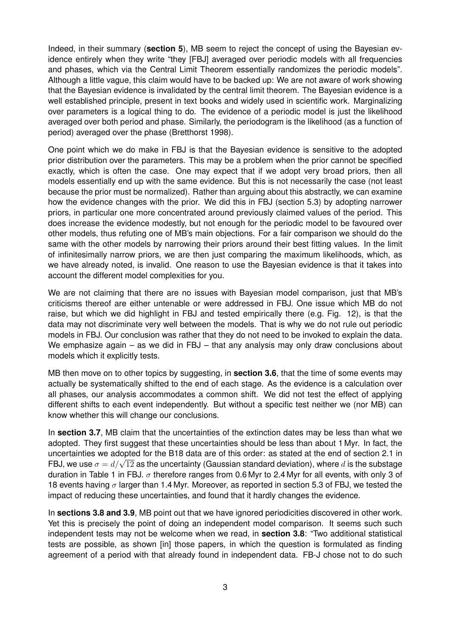Indeed, in their summary (**section 5**), MB seem to reject the concept of using the Bayesian evidence entirely when they write "they [FBJ] averaged over periodic models with all frequencies and phases, which via the Central Limit Theorem essentially randomizes the periodic models". Although a little vague, this claim would have to be backed up: We are not aware of work showing that the Bayesian evidence is invalidated by the central limit theorem. The Bayesian evidence is a well established principle, present in text books and widely used in scientific work. Marginalizing over parameters is a logical thing to do. The evidence of a periodic model is just the likelihood averaged over both period and phase. Similarly, the periodogram is the likelihood (as a function of period) averaged over the phase (Bretthorst 1998).

One point which we do make in FBJ is that the Bayesian evidence is sensitive to the adopted prior distribution over the parameters. This may be a problem when the prior cannot be specified exactly, which is often the case. One may expect that if we adopt very broad priors, then all models essentially end up with the same evidence. But this is not necessarily the case (not least because the prior must be normalized). Rather than arguing about this abstractly, we can examine how the evidence changes with the prior. We did this in FBJ (section 5.3) by adopting narrower priors, in particular one more concentrated around previously claimed values of the period. This does increase the evidence modestly, but not enough for the periodic model to be favoured over other models, thus refuting one of MB's main objections. For a fair comparison we should do the same with the other models by narrowing their priors around their best fitting values. In the limit of infinitesimally narrow priors, we are then just comparing the maximum likelihoods, which, as we have already noted, is invalid. One reason to use the Bayesian evidence is that it takes into account the different model complexities for you.

We are not claiming that there are no issues with Bayesian model comparison, just that MB's criticisms thereof are either untenable or were addressed in FBJ. One issue which MB do not raise, but which we did highlight in FBJ and tested empirically there (e.g. Fig. 12), is that the data may not discriminate very well between the models. That is why we do not rule out periodic models in FBJ. Our conclusion was rather that they do not need to be invoked to explain the data. We emphasize again – as we did in FBJ – that any analysis may only draw conclusions about models which it explicitly tests.

MB then move on to other topics by suggesting, in **section 3.6**, that the time of some events may actually be systematically shifted to the end of each stage. As the evidence is a calculation over all phases, our analysis accommodates a common shift. We did not test the effect of applying different shifts to each event independently. But without a specific test neither we (nor MB) can know whether this will change our conclusions.

In **section 3.7**, MB claim that the uncertainties of the extinction dates may be less than what we adopted. They first suggest that these uncertainties should be less than about 1 Myr. In fact, the uncertainties we adopted for the B18 data are of this order: as stated at the end of section 2.1 in ancertainties we adopted for the BT6 data are or this order, as stated at the end or section 2.1 in<br>FBJ, we use  $\sigma = d/\sqrt{12}$  as the uncertainty (Gaussian standard deviation), where d is the substage duration in Table 1 in FBJ.  $\sigma$  therefore ranges from 0.6 Myr to 2.4 Myr for all events, with only 3 of 18 events having  $\sigma$  larger than 1.4 Myr. Moreover, as reported in section 5.3 of FBJ, we tested the impact of reducing these uncertainties, and found that it hardly changes the evidence.

In **sections 3.8 and 3.9**, MB point out that we have ignored periodicities discovered in other work. Yet this is precisely the point of doing an independent model comparison. It seems such such independent tests may not be welcome when we read, in **section 3.8**: "Two additional statistical tests are possible, as shown [in] those papers, in which the question is formulated as finding agreement of a period with that already found in independent data. FB-J chose not to do such